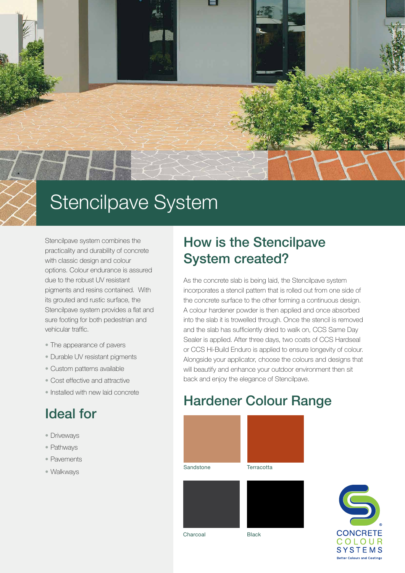

# Stencilpave System

Stencilpave system combines the practicality and durability of concrete with classic design and colour options. Colour endurance is assured due to the robust UV resistant pigments and resins contained. With its grouted and rustic surface, the Stencilpave system provides a flat and sure footing for both pedestrian and vehicular traffic.

- The appearance of pavers
- Durable UV resistant pigments
- Custom patterns available
- Cost effective and attractive
- Installed with new laid concrete

# Ideal for

- Driveways
- Pathways
- Pavements
- Walkways

## How is the Stencilpave System created?

As the concrete slab is being laid, the Stencilpave system incorporates a stencil pattern that is rolled out from one side of the concrete surface to the other forming a continuous design. A colour hardener powder is then applied and once absorbed into the slab it is trowelled through. Once the stencil is removed and the slab has sufficiently dried to walk on, CCS Same Day Sealer is applied. After three days, two coats of CCS Hardseal or CCS Hi-Build Enduro is applied to ensure longevity of colour. Alongside your applicator, choose the colours and designs that will beautify and enhance your outdoor environment then sit back and enjoy the elegance of Stencilpave.

### Hardener Colour Range